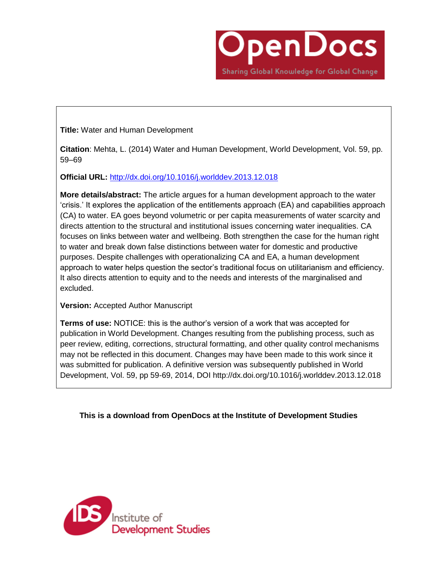

### **Title:** Water and Human Development

**Citation**: Mehta, L. (2014) Water and Human Development, World Development, Vol. 59, pp. 59–69

### **Official URL:** <http://dx.doi.org/10.1016/j.worlddev.2013.12.018>

**More details/abstract:** The article argues for a human development approach to the water 'crisis.' It explores the application of the entitlements approach (EA) and capabilities approach (CA) to water. EA goes beyond volumetric or per capita measurements of water scarcity and directs attention to the structural and institutional issues concerning water inequalities. CA focuses on links between water and wellbeing. Both strengthen the case for the human right to water and break down false distinctions between water for domestic and productive purposes. Despite challenges with operationalizing CA and EA, a human development approach to water helps question the sector's traditional focus on utilitarianism and efficiency. It also directs attention to equity and to the needs and interests of the marginalised and excluded.

### **Version:** Accepted Author Manuscript

**Terms of use:** NOTICE: this is the author's version of a work that was accepted for publication in World Development. Changes resulting from the publishing process, such as peer review, editing, corrections, structural formatting, and other quality control mechanisms may not be reflected in this document. Changes may have been made to this work since it was submitted for publication. A definitive version was subsequently published in World Development, Vol. 59, pp 59-69, 2014, DOI http://dx.doi.org/10.1016/j.worlddev.2013.12.018

# **This is a download from OpenDocs at the Institute of Development Studies**

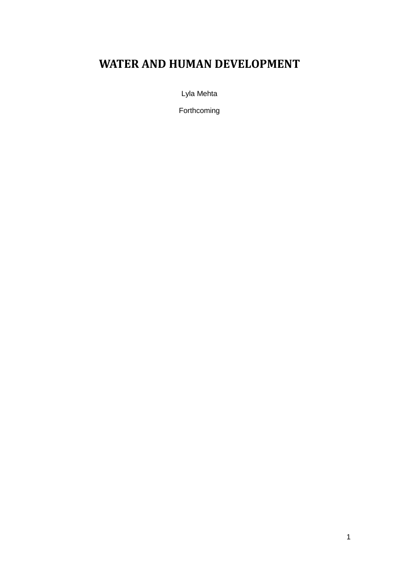# **WATER AND HUMAN DEVELOPMENT**

Lyla Mehta

Forthcoming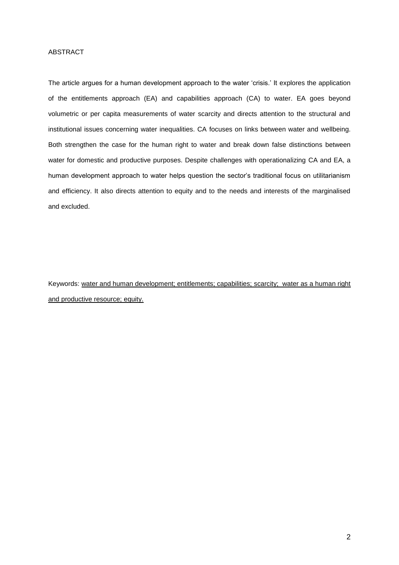#### ABSTRACT

The article argues for a human development approach to the water 'crisis.' It explores the application of the entitlements approach (EA) and capabilities approach (CA) to water. EA goes beyond volumetric or per capita measurements of water scarcity and directs attention to the structural and institutional issues concerning water inequalities. CA focuses on links between water and wellbeing. Both strengthen the case for the human right to water and break down false distinctions between water for domestic and productive purposes. Despite challenges with operationalizing CA and EA, a human development approach to water helps question the sector's traditional focus on utilitarianism and efficiency. It also directs attention to equity and to the needs and interests of the marginalised and excluded.

Keywords: water and human development; entitlements; capabilities; scarcity; water as a human right and productive resource; equity.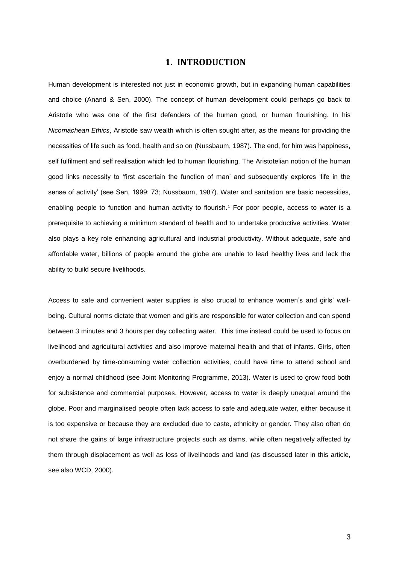# **1. INTRODUCTION**

Human development is interested not just in economic growth, but in expanding human capabilities and choice (Anand & Sen, 2000). The concept of human development could perhaps go back to Aristotle who was one of the first defenders of the human good, or human flourishing. In his *Nicomachean Ethics*, Aristotle saw wealth which is often sought after, as the means for providing the necessities of life such as food, health and so on (Nussbaum, 1987). The end, for him was happiness, self fulfilment and self realisation which led to human flourishing. The Aristotelian notion of the human good links necessity to 'first ascertain the function of man' and subsequently explores 'life in the sense of activity' (see Sen, 1999: 73; Nussbaum, 1987). Water and sanitation are basic necessities, enabling people to function and human activity to flourish.<sup>1</sup> For poor people, access to water is a prerequisite to achieving a minimum standard of health and to undertake productive activities. Water also plays a key role enhancing agricultural and industrial productivity. Without adequate, safe and affordable water, billions of people around the globe are unable to lead healthy lives and lack the ability to build secure livelihoods.

Access to safe and convenient water supplies is also crucial to enhance women's and girls' wellbeing. Cultural norms dictate that women and girls are responsible for water collection and can spend between 3 minutes and 3 hours per day collecting water. This time instead could be used to focus on livelihood and agricultural activities and also improve maternal health and that of infants. Girls, often overburdened by time-consuming water collection activities, could have time to attend school and enjoy a normal childhood (see Joint Monitoring Programme, 2013). Water is used to grow food both for subsistence and commercial purposes. However, access to water is deeply unequal around the globe. Poor and marginalised people often lack access to safe and adequate water, either because it is too expensive or because they are excluded due to caste, ethnicity or gender. They also often do not share the gains of large infrastructure projects such as dams, while often negatively affected by them through displacement as well as loss of livelihoods and land (as discussed later in this article, see also WCD, 2000).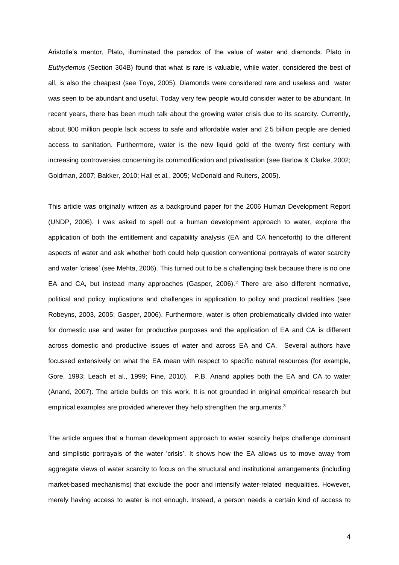Aristotle's mentor, Plato, illuminated the paradox of the value of water and diamonds. Plato in *Euthydemus* (Section 304B) found that what is rare is valuable, while water, considered the best of all, is also the cheapest (see Toye, 2005). Diamonds were considered rare and useless and water was seen to be abundant and useful. Today very few people would consider water to be abundant. In recent years, there has been much talk about the growing water crisis due to its scarcity. Currently, about 800 million people lack access to safe and affordable water and 2.5 billion people are denied access to sanitation. Furthermore, water is the new liquid gold of the twenty first century with increasing controversies concerning its commodification and privatisation (see Barlow & Clarke, 2002; Goldman, 2007; Bakker, 2010; Hall et al., 2005; McDonald and Ruiters, 2005).

This article was originally written as a background paper for the 2006 Human Development Report (UNDP, 2006). I was asked to spell out a human development approach to water, explore the application of both the entitlement and capability analysis (EA and CA henceforth) to the different aspects of water and ask whether both could help question conventional portrayals of water scarcity and water 'crises' (see Mehta, 2006). This turned out to be a challenging task because there is no one EA and CA, but instead many approaches (Gasper, 2006).<sup>2</sup> There are also different normative, political and policy implications and challenges in application to policy and practical realities (see Robeyns, 2003, 2005; Gasper, 2006). Furthermore, water is often problematically divided into water for domestic use and water for productive purposes and the application of EA and CA is different across domestic and productive issues of water and across EA and CA. Several authors have focussed extensively on what the EA mean with respect to specific natural resources (for example, Gore, 1993; Leach et al., 1999; Fine, 2010). P.B. Anand applies both the EA and CA to water (Anand, 2007). The article builds on this work. It is not grounded in original empirical research but empirical examples are provided wherever they help strengthen the arguments.<sup>3</sup>

The article argues that a human development approach to water scarcity helps challenge dominant and simplistic portrayals of the water 'crisis'. It shows how the EA allows us to move away from aggregate views of water scarcity to focus on the structural and institutional arrangements (including market-based mechanisms) that exclude the poor and intensify water-related inequalities. However, merely having access to water is not enough. Instead, a person needs a certain kind of access to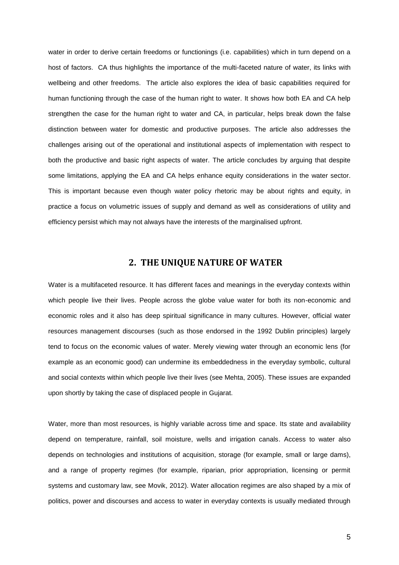water in order to derive certain freedoms or functionings (i.e. capabilities) which in turn depend on a host of factors. CA thus highlights the importance of the multi-faceted nature of water, its links with wellbeing and other freedoms. The article also explores the idea of basic capabilities required for human functioning through the case of the human right to water. It shows how both EA and CA help strengthen the case for the human right to water and CA, in particular, helps break down the false distinction between water for domestic and productive purposes. The article also addresses the challenges arising out of the operational and institutional aspects of implementation with respect to both the productive and basic right aspects of water. The article concludes by arguing that despite some limitations, applying the EA and CA helps enhance equity considerations in the water sector. This is important because even though water policy rhetoric may be about rights and equity, in practice a focus on volumetric issues of supply and demand as well as considerations of utility and efficiency persist which may not always have the interests of the marginalised upfront.

# **2. THE UNIQUE NATURE OF WATER**

Water is a multifaceted resource. It has different faces and meanings in the everyday contexts within which people live their lives. People across the globe value water for both its non-economic and economic roles and it also has deep spiritual significance in many cultures. However, official water resources management discourses (such as those endorsed in the 1992 Dublin principles) largely tend to focus on the economic values of water. Merely viewing water through an economic lens (for example as an economic good) can undermine its embeddedness in the everyday symbolic, cultural and social contexts within which people live their lives (see Mehta, 2005). These issues are expanded upon shortly by taking the case of displaced people in Gujarat.

Water, more than most resources, is highly variable across time and space. Its state and availability depend on temperature, rainfall, soil moisture, wells and irrigation canals. Access to water also depends on technologies and institutions of acquisition, storage (for example, small or large dams), and a range of property regimes (for example, riparian, prior appropriation, licensing or permit systems and customary law, see Movik, 2012). Water allocation regimes are also shaped by a mix of politics, power and discourses and access to water in everyday contexts is usually mediated through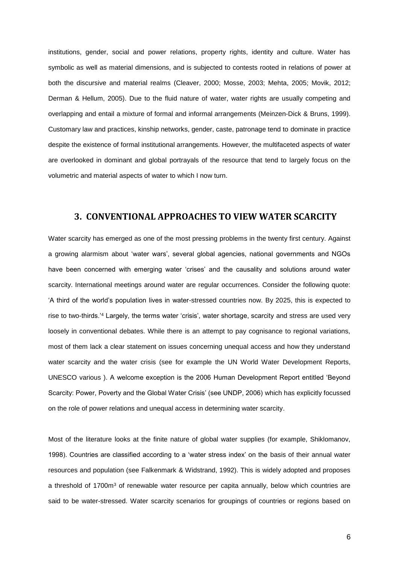institutions, gender, social and power relations, property rights, identity and culture. Water has symbolic as well as material dimensions, and is subjected to contests rooted in relations of power at both the discursive and material realms (Cleaver, 2000; Mosse, 2003; Mehta, 2005; Movik, 2012; Derman & Hellum, 2005). Due to the fluid nature of water, water rights are usually competing and overlapping and entail a mixture of formal and informal arrangements (Meinzen-Dick & Bruns, 1999). Customary law and practices, kinship networks, gender, caste, patronage tend to dominate in practice despite the existence of formal institutional arrangements. However, the multifaceted aspects of water are overlooked in dominant and global portrayals of the resource that tend to largely focus on the volumetric and material aspects of water to which I now turn.

# **3. CONVENTIONAL APPROACHES TO VIEW WATER SCARCITY**

Water scarcity has emerged as one of the most pressing problems in the twenty first century. Against a growing alarmism about 'water wars', several global agencies, national governments and NGOs have been concerned with emerging water 'crises' and the causality and solutions around water scarcity. International meetings around water are regular occurrences. Consider the following quote: 'A third of the world's population lives in water-stressed countries now. By 2025, this is expected to rise to two-thirds.'<sup>4</sup> Largely, the terms water 'crisis', water shortage, scarcity and stress are used very loosely in conventional debates. While there is an attempt to pay cognisance to regional variations, most of them lack a clear statement on issues concerning unequal access and how they understand water scarcity and the water crisis (see for example the UN World Water Development Reports, UNESCO various ). A welcome exception is the 2006 Human Development Report entitled 'Beyond Scarcity: Power, Poverty and the Global Water Crisis' (see UNDP, 2006) which has explicitly focussed on the role of power relations and unequal access in determining water scarcity.

Most of the literature looks at the finite nature of global water supplies (for example, Shiklomanov, 1998). Countries are classified according to a 'water stress index' on the basis of their annual water resources and population (see Falkenmark & Widstrand, 1992). This is widely adopted and proposes a threshold of 1700m<sup>3</sup> of renewable water resource per capita annually, below which countries are said to be water-stressed. Water scarcity scenarios for groupings of countries or regions based on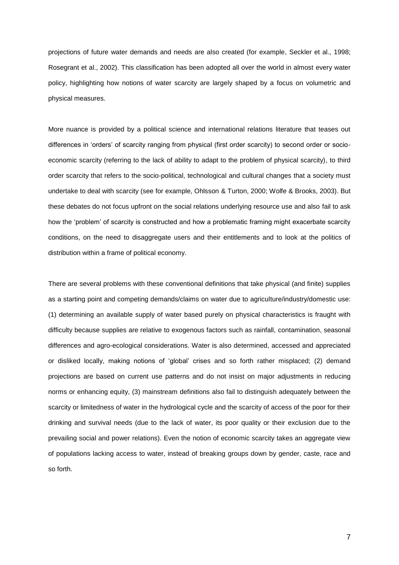projections of future water demands and needs are also created (for example, Seckler et al., 1998; Rosegrant et al., 2002). This classification has been adopted all over the world in almost every water policy, highlighting how notions of water scarcity are largely shaped by a focus on volumetric and physical measures.

More nuance is provided by a political science and international relations literature that teases out differences in 'orders' of scarcity ranging from physical (first order scarcity) to second order or socioeconomic scarcity (referring to the lack of ability to adapt to the problem of physical scarcity), to third order scarcity that refers to the socio-political, technological and cultural changes that a society must undertake to deal with scarcity (see for example, Ohlsson & Turton, 2000; Wolfe & Brooks, 2003). But these debates do not focus upfront on the social relations underlying resource use and also fail to ask how the 'problem' of scarcity is constructed and how a problematic framing might exacerbate scarcity conditions, on the need to disaggregate users and their entitlements and to look at the politics of distribution within a frame of political economy.

There are several problems with these conventional definitions that take physical (and finite) supplies as a starting point and competing demands/claims on water due to agriculture/industry/domestic use: (1) determining an available supply of water based purely on physical characteristics is fraught with difficulty because supplies are relative to exogenous factors such as rainfall, contamination, seasonal differences and agro-ecological considerations. Water is also determined, accessed and appreciated or disliked locally, making notions of 'global' crises and so forth rather misplaced; (2) demand projections are based on current use patterns and do not insist on major adjustments in reducing norms or enhancing equity, (3) mainstream definitions also fail to distinguish adequately between the scarcity or limitedness of water in the hydrological cycle and the scarcity of access of the poor for their drinking and survival needs (due to the lack of water, its poor quality or their exclusion due to the prevailing social and power relations). Even the notion of economic scarcity takes an aggregate view of populations lacking access to water, instead of breaking groups down by gender, caste, race and so forth.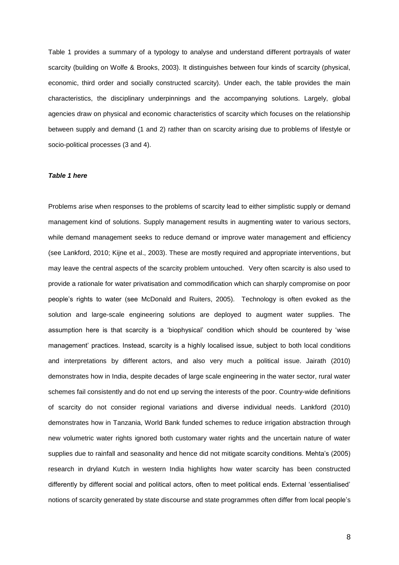Table 1 provides a summary of a typology to analyse and understand different portrayals of water scarcity (building on Wolfe & Brooks, 2003). It distinguishes between four kinds of scarcity (physical, economic, third order and socially constructed scarcity). Under each, the table provides the main characteristics, the disciplinary underpinnings and the accompanying solutions. Largely, global agencies draw on physical and economic characteristics of scarcity which focuses on the relationship between supply and demand (1 and 2) rather than on scarcity arising due to problems of lifestyle or socio-political processes (3 and 4).

#### *Table 1 here*

Problems arise when responses to the problems of scarcity lead to either simplistic supply or demand management kind of solutions. Supply management results in augmenting water to various sectors, while demand management seeks to reduce demand or improve water management and efficiency (see Lankford, 2010; Kijne et al., 2003). These are mostly required and appropriate interventions, but may leave the central aspects of the scarcity problem untouched. Very often scarcity is also used to provide a rationale for water privatisation and commodification which can sharply compromise on poor people's rights to water (see McDonald and Ruiters, 2005). Technology is often evoked as the solution and large-scale engineering solutions are deployed to augment water supplies. The assumption here is that scarcity is a 'biophysical' condition which should be countered by 'wise management' practices. Instead, scarcity is a highly localised issue, subject to both local conditions and interpretations by different actors, and also very much a political issue. Jairath (2010) demonstrates how in India, despite decades of large scale engineering in the water sector, rural water schemes fail consistently and do not end up serving the interests of the poor. Country-wide definitions of scarcity do not consider regional variations and diverse individual needs. Lankford (2010) demonstrates how in Tanzania, World Bank funded schemes to reduce irrigation abstraction through new volumetric water rights ignored both customary water rights and the uncertain nature of water supplies due to rainfall and seasonality and hence did not mitigate scarcity conditions. Mehta's (2005) research in dryland Kutch in western India highlights how water scarcity has been constructed differently by different social and political actors, often to meet political ends. External 'essentialised' notions of scarcity generated by state discourse and state programmes often differ from local people's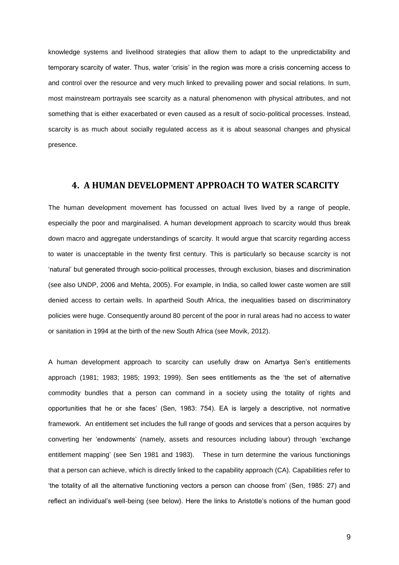knowledge systems and livelihood strategies that allow them to adapt to the unpredictability and temporary scarcity of water. Thus, water 'crisis' in the region was more a crisis concerning access to and control over the resource and very much linked to prevailing power and social relations. In sum, most mainstream portrayals see scarcity as a natural phenomenon with physical attributes, and not something that is either exacerbated or even caused as a result of socio-political processes. Instead, scarcity is as much about socially regulated access as it is about seasonal changes and physical presence.

# **4. A HUMAN DEVELOPMENT APPROACH TO WATER SCARCITY**

The human development movement has focussed on actual lives lived by a range of people, especially the poor and marginalised. A human development approach to scarcity would thus break down macro and aggregate understandings of scarcity. It would argue that scarcity regarding access to water is unacceptable in the twenty first century. This is particularly so because scarcity is not 'natural' but generated through socio-political processes, through exclusion, biases and discrimination (see also UNDP, 2006 and Mehta, 2005). For example, in India, so called lower caste women are still denied access to certain wells. In apartheid South Africa, the inequalities based on discriminatory policies were huge. Consequently around 80 percent of the poor in rural areas had no access to water or sanitation in 1994 at the birth of the new South Africa (see Movik, 2012).

A human development approach to scarcity can usefully draw on Amartya Sen's entitlements approach (1981; 1983; 1985; 1993; 1999). Sen sees entitlements as the 'the set of alternative commodity bundles that a person can command in a society using the totality of rights and opportunities that he or she faces' (Sen, 1983: 754). EA is largely a descriptive, not normative framework. An entitlement set includes the full range of goods and services that a person acquires by converting her 'endowments' (namely, assets and resources including labour) through 'exchange entitlement mapping' (see Sen 1981 and 1983). These in turn determine the various functionings that a person can achieve, which is directly linked to the capability approach (CA). Capabilities refer to 'the totality of all the alternative functioning vectors a person can choose from' (Sen, 1985: 27) and reflect an individual's well-being (see below). Here the links to Aristotle's notions of the human good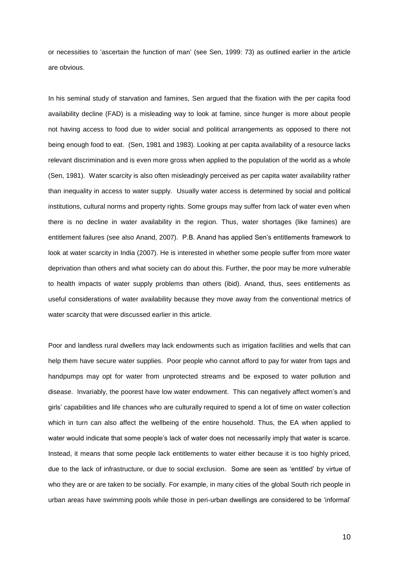or necessities to 'ascertain the function of man' (see Sen, 1999: 73) as outlined earlier in the article are obvious.

In his seminal study of starvation and famines, Sen argued that the fixation with the per capita food availability decline (FAD) is a misleading way to look at famine, since hunger is more about people not having access to food due to wider social and political arrangements as opposed to there not being enough food to eat. (Sen, 1981 and 1983). Looking at per capita availability of a resource lacks relevant discrimination and is even more gross when applied to the population of the world as a whole (Sen, 1981). Water scarcity is also often misleadingly perceived as per capita water availability rather than inequality in access to water supply. Usually water access is determined by social and political institutions, cultural norms and property rights. Some groups may suffer from lack of water even when there is no decline in water availability in the region. Thus, water shortages (like famines) are entitlement failures (see also Anand, 2007). P.B. Anand has applied Sen's entitlements framework to look at water scarcity in India (2007). He is interested in whether some people suffer from more water deprivation than others and what society can do about this. Further, the poor may be more vulnerable to health impacts of water supply problems than others (ibid). Anand, thus, sees entitlements as useful considerations of water availability because they move away from the conventional metrics of water scarcity that were discussed earlier in this article.

Poor and landless rural dwellers may lack endowments such as irrigation facilities and wells that can help them have secure water supplies. Poor people who cannot afford to pay for water from taps and handpumps may opt for water from unprotected streams and be exposed to water pollution and disease. Invariably, the poorest have low water endowment. This can negatively affect women's and girls' capabilities and life chances who are culturally required to spend a lot of time on water collection which in turn can also affect the wellbeing of the entire household. Thus, the EA when applied to water would indicate that some people's lack of water does not necessarily imply that water is scarce. Instead, it means that some people lack entitlements to water either because it is too highly priced, due to the lack of infrastructure, or due to social exclusion. Some are seen as 'entitled' by virtue of who they are or are taken to be socially. For example, in many cities of the global South rich people in urban areas have swimming pools while those in peri-urban dwellings are considered to be 'informal'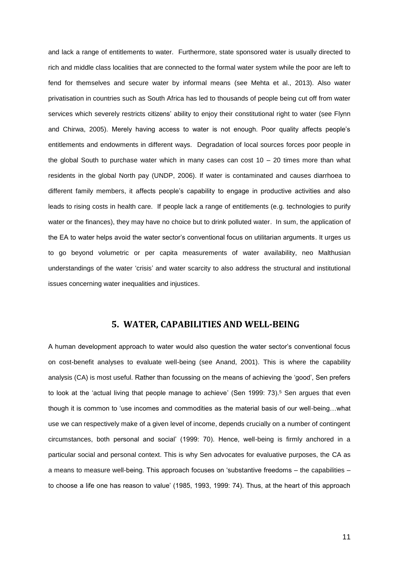and lack a range of entitlements to water. Furthermore, state sponsored water is usually directed to rich and middle class localities that are connected to the formal water system while the poor are left to fend for themselves and secure water by informal means (see Mehta et al., 2013). Also water privatisation in countries such as South Africa has led to thousands of people being cut off from water services which severely restricts citizens' ability to enjoy their constitutional right to water (see Flynn and Chirwa, 2005). Merely having access to water is not enough. Poor quality affects people's entitlements and endowments in different ways. Degradation of local sources forces poor people in the global South to purchase water which in many cases can cost  $10 - 20$  times more than what residents in the global North pay (UNDP, 2006). If water is contaminated and causes diarrhoea to different family members, it affects people's capability to engage in productive activities and also leads to rising costs in health care. If people lack a range of entitlements (e.g. technologies to purify water or the finances), they may have no choice but to drink polluted water. In sum, the application of the EA to water helps avoid the water sector's conventional focus on utilitarian arguments. It urges us to go beyond volumetric or per capita measurements of water availability, neo Malthusian understandings of the water 'crisis' and water scarcity to also address the structural and institutional issues concerning water inequalities and injustices.

### **5. WATER, CAPABILITIES AND WELL-BEING**

A human development approach to water would also question the water sector's conventional focus on cost-benefit analyses to evaluate well-being (see Anand, 2001). This is where the capability analysis (CA) is most useful. Rather than focussing on the means of achieving the 'good', Sen prefers to look at the 'actual living that people manage to achieve' (Sen 1999: 73).<sup>5</sup> Sen argues that even though it is common to 'use incomes and commodities as the material basis of our well-being…what use we can respectively make of a given level of income, depends crucially on a number of contingent circumstances, both personal and social' (1999: 70). Hence, well-being is firmly anchored in a particular social and personal context. This is why Sen advocates for evaluative purposes, the CA as a means to measure well-being. This approach focuses on 'substantive freedoms – the capabilities – to choose a life one has reason to value' (1985, 1993, 1999: 74). Thus, at the heart of this approach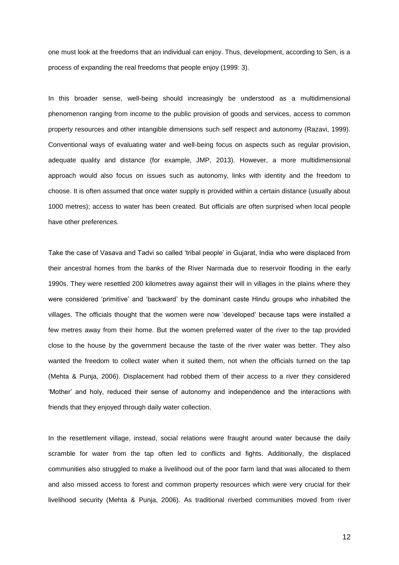one must look at the freedoms that an individual can enjoy. Thus, development, according to Sen, is a process of expanding the real freedoms that people enjoy (1999: 3).

In this broader sense, well-being should increasingly be understood as a multidimensional phenomenon ranging from income to the public provision of goods and services, access to common property resources and other intangible dimensions such self respect and autonomy (Razavi, 1999). Conventional ways of evaluating water and well-being focus on aspects such as regular provision, adequate quality and distance (for example, JMP, 2013). However, a more multidimensional approach would also focus on issues such as autonomy, links with identity and the freedom to choose. It is often assumed that once water supply is provided within a certain distance (usually about 1000 metres); access to water has been created. But officials are often surprised when local people have other preferences.

Take the case of Vasava and Tadvi so called 'tribal people' in Gujarat, India who were displaced from their ancestral homes from the banks of the River Narmada due to reservoir flooding in the early 1990s. They were resettled 200 kilometres away against their will in villages in the plains where they were considered 'primitive' and 'backward' by the dominant caste Hindu groups who inhabited the villages. The officials thought that the women were now 'developed' because taps were installed a few metres away from their home. But the women preferred water of the river to the tap provided close to the house by the government because the taste of the river water was better. They also wanted the freedom to collect water when it suited them, not when the officials turned on the tap (Mehta & Punja, 2006). Displacement had robbed them of their access to a river they considered 'Mother' and holy, reduced their sense of autonomy and independence and the interactions with friends that they enjoyed through daily water collection.

In the resettlement village, instead, social relations were fraught around water because the daily scramble for water from the tap often led to conflicts and fights. Additionally, the displaced communities also struggled to make a livelihood out of the poor farm land that was allocated to them and also missed access to forest and common property resources which were very crucial for their livelihood security (Mehta & Punja, 2006). As traditional riverbed communities moved from river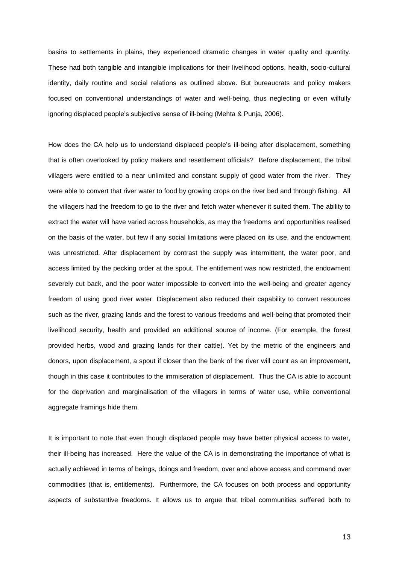basins to settlements in plains, they experienced dramatic changes in water quality and quantity. These had both tangible and intangible implications for their livelihood options, health, socio-cultural identity, daily routine and social relations as outlined above. But bureaucrats and policy makers focused on conventional understandings of water and well-being, thus neglecting or even wilfully ignoring displaced people's subjective sense of ill-being (Mehta & Punja, 2006).

How does the CA help us to understand displaced people's ill-being after displacement, something that is often overlooked by policy makers and resettlement officials? Before displacement, the tribal villagers were entitled to a near unlimited and constant supply of good water from the river. They were able to convert that river water to food by growing crops on the river bed and through fishing. All the villagers had the freedom to go to the river and fetch water whenever it suited them. The ability to extract the water will have varied across households, as may the freedoms and opportunities realised on the basis of the water, but few if any social limitations were placed on its use, and the endowment was unrestricted. After displacement by contrast the supply was intermittent, the water poor, and access limited by the pecking order at the spout. The entitlement was now restricted, the endowment severely cut back, and the poor water impossible to convert into the well-being and greater agency freedom of using good river water. Displacement also reduced their capability to convert resources such as the river, grazing lands and the forest to various freedoms and well-being that promoted their livelihood security, health and provided an additional source of income. (For example, the forest provided herbs, wood and grazing lands for their cattle). Yet by the metric of the engineers and donors, upon displacement, a spout if closer than the bank of the river will count as an improvement, though in this case it contributes to the immiseration of displacement. Thus the CA is able to account for the deprivation and marginalisation of the villagers in terms of water use, while conventional aggregate framings hide them.

It is important to note that even though displaced people may have better physical access to water, their ill-being has increased. Here the value of the CA is in demonstrating the importance of what is actually achieved in terms of beings, doings and freedom, over and above access and command over commodities (that is, entitlements). Furthermore, the CA focuses on both process and opportunity aspects of substantive freedoms. It allows us to argue that tribal communities suffered both to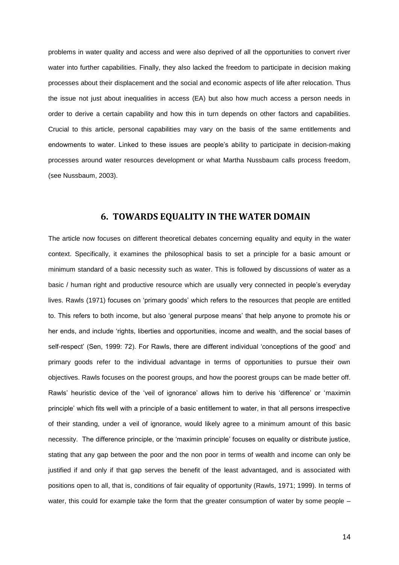problems in water quality and access and were also deprived of all the opportunities to convert river water into further capabilities. Finally, they also lacked the freedom to participate in decision making processes about their displacement and the social and economic aspects of life after relocation. Thus the issue not just about inequalities in access (EA) but also how much access a person needs in order to derive a certain capability and how this in turn depends on other factors and capabilities. Crucial to this article, personal capabilities may vary on the basis of the same entitlements and endowments to water. Linked to these issues are people's ability to participate in decision-making processes around water resources development or what Martha Nussbaum calls process freedom, (see Nussbaum, 2003).

# **6. TOWARDS EQUALITY IN THE WATER DOMAIN**

The article now focuses on different theoretical debates concerning equality and equity in the water context. Specifically, it examines the philosophical basis to set a principle for a basic amount or minimum standard of a basic necessity such as water. This is followed by discussions of water as a basic / human right and productive resource which are usually very connected in people's everyday lives. Rawls (1971) focuses on 'primary goods' which refers to the resources that people are entitled to. This refers to both income, but also 'general purpose means' that help anyone to promote his or her ends, and include 'rights, liberties and opportunities, income and wealth, and the social bases of self-respect' (Sen, 1999: 72). For Rawls, there are different individual 'conceptions of the good' and primary goods refer to the individual advantage in terms of opportunities to pursue their own objectives. Rawls focuses on the poorest groups, and how the poorest groups can be made better off. Rawls' heuristic device of the 'veil of ignorance' allows him to derive his 'difference' or 'maximin principle' which fits well with a principle of a basic entitlement to water, in that all persons irrespective of their standing, under a veil of ignorance, would likely agree to a minimum amount of this basic necessity. The difference principle, or the 'maximin principle' focuses on equality or distribute justice, stating that any gap between the poor and the non poor in terms of wealth and income can only be justified if and only if that gap serves the benefit of the least advantaged, and is associated with positions open to all, that is, conditions of fair equality of opportunity (Rawls, 1971; 1999). In terms of water, this could for example take the form that the greater consumption of water by some people –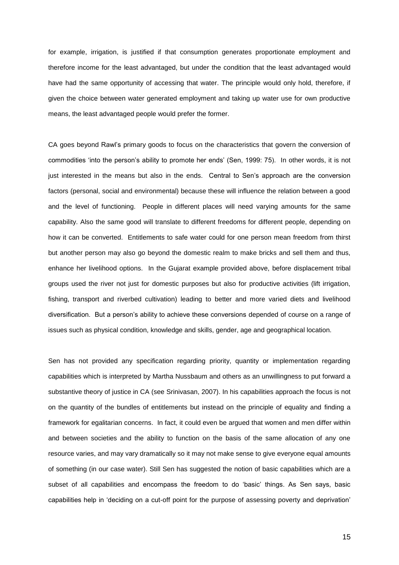for example, irrigation, is justified if that consumption generates proportionate employment and therefore income for the least advantaged, but under the condition that the least advantaged would have had the same opportunity of accessing that water. The principle would only hold, therefore, if given the choice between water generated employment and taking up water use for own productive means, the least advantaged people would prefer the former.

CA goes beyond Rawl's primary goods to focus on the characteristics that govern the conversion of commodities 'into the person's ability to promote her ends' (Sen, 1999: 75). In other words, it is not just interested in the means but also in the ends. Central to Sen's approach are the conversion factors (personal, social and environmental) because these will influence the relation between a good and the level of functioning. People in different places will need varying amounts for the same capability. Also the same good will translate to different freedoms for different people, depending on how it can be converted. Entitlements to safe water could for one person mean freedom from thirst but another person may also go beyond the domestic realm to make bricks and sell them and thus, enhance her livelihood options. In the Gujarat example provided above, before displacement tribal groups used the river not just for domestic purposes but also for productive activities (lift irrigation, fishing, transport and riverbed cultivation) leading to better and more varied diets and livelihood diversification. But a person's ability to achieve these conversions depended of course on a range of issues such as physical condition, knowledge and skills, gender, age and geographical location.

Sen has not provided any specification regarding priority, quantity or implementation regarding capabilities which is interpreted by Martha Nussbaum and others as an unwillingness to put forward a substantive theory of justice in CA (see Srinivasan, 2007). In his capabilities approach the focus is not on the quantity of the bundles of entitlements but instead on the principle of equality and finding a framework for egalitarian concerns. In fact, it could even be argued that women and men differ within and between societies and the ability to function on the basis of the same allocation of any one resource varies, and may vary dramatically so it may not make sense to give everyone equal amounts of something (in our case water). Still Sen has suggested the notion of basic capabilities which are a subset of all capabilities and encompass the freedom to do 'basic' things. As Sen says, basic capabilities help in 'deciding on a cut-off point for the purpose of assessing poverty and deprivation'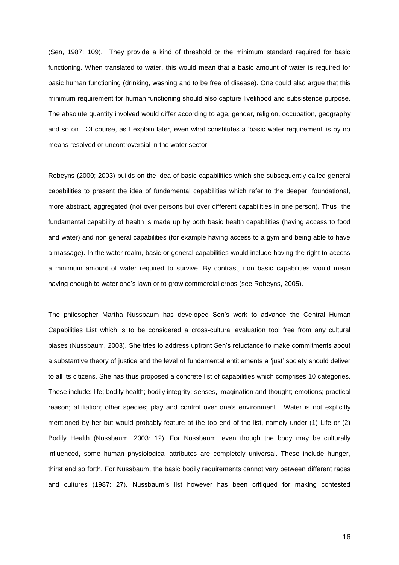(Sen, 1987: 109). They provide a kind of threshold or the minimum standard required for basic functioning. When translated to water, this would mean that a basic amount of water is required for basic human functioning (drinking, washing and to be free of disease). One could also argue that this minimum requirement for human functioning should also capture livelihood and subsistence purpose. The absolute quantity involved would differ according to age, gender, religion, occupation, geography and so on. Of course, as I explain later, even what constitutes a 'basic water requirement' is by no means resolved or uncontroversial in the water sector.

Robeyns (2000; 2003) builds on the idea of basic capabilities which she subsequently called general capabilities to present the idea of fundamental capabilities which refer to the deeper, foundational, more abstract, aggregated (not over persons but over different capabilities in one person). Thus, the fundamental capability of health is made up by both basic health capabilities (having access to food and water) and non general capabilities (for example having access to a gym and being able to have a massage). In the water realm, basic or general capabilities would include having the right to access a minimum amount of water required to survive. By contrast, non basic capabilities would mean having enough to water one's lawn or to grow commercial crops (see Robeyns, 2005).

The philosopher Martha Nussbaum has developed Sen's work to advance the Central Human Capabilities List which is to be considered a cross-cultural evaluation tool free from any cultural biases (Nussbaum, 2003). She tries to address upfront Sen's reluctance to make commitments about a substantive theory of justice and the level of fundamental entitlements a 'just' society should deliver to all its citizens. She has thus proposed a concrete list of capabilities which comprises 10 categories. These include: life; bodily health; bodily integrity; senses, imagination and thought; emotions; practical reason; affiliation; other species; play and control over one's environment. Water is not explicitly mentioned by her but would probably feature at the top end of the list, namely under (1) Life or (2) Bodily Health (Nussbaum, 2003: 12). For Nussbaum, even though the body may be culturally influenced, some human physiological attributes are completely universal. These include hunger, thirst and so forth. For Nussbaum, the basic bodily requirements cannot vary between different races and cultures (1987: 27). Nussbaum's list however has been critiqued for making contested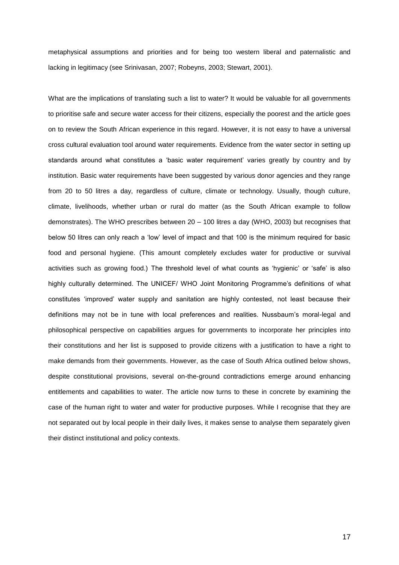metaphysical assumptions and priorities and for being too western liberal and paternalistic and lacking in legitimacy (see Srinivasan, 2007; Robeyns, 2003; Stewart, 2001).

What are the implications of translating such a list to water? It would be valuable for all governments to prioritise safe and secure water access for their citizens, especially the poorest and the article goes on to review the South African experience in this regard. However, it is not easy to have a universal cross cultural evaluation tool around water requirements. Evidence from the water sector in setting up standards around what constitutes a 'basic water requirement' varies greatly by country and by institution. Basic water requirements have been suggested by various donor agencies and they range from 20 to 50 litres a day, regardless of culture, climate or technology. Usually, though culture, climate, livelihoods, whether urban or rural do matter (as the South African example to follow demonstrates). The WHO prescribes between 20 – 100 litres a day (WHO, 2003) but recognises that below 50 litres can only reach a 'low' level of impact and that 100 is the minimum required for basic food and personal hygiene. (This amount completely excludes water for productive or survival activities such as growing food.) The threshold level of what counts as 'hygienic' or 'safe' is also highly culturally determined. The UNICEF/ WHO Joint Monitoring Programme's definitions of what constitutes 'improved' water supply and sanitation are highly contested, not least because their definitions may not be in tune with local preferences and realities. Nussbaum's moral-legal and philosophical perspective on capabilities argues for governments to incorporate her principles into their constitutions and her list is supposed to provide citizens with a justification to have a right to make demands from their governments. However, as the case of South Africa outlined below shows, despite constitutional provisions, several on-the-ground contradictions emerge around enhancing entitlements and capabilities to water. The article now turns to these in concrete by examining the case of the human right to water and water for productive purposes. While I recognise that they are not separated out by local people in their daily lives, it makes sense to analyse them separately given their distinct institutional and policy contexts.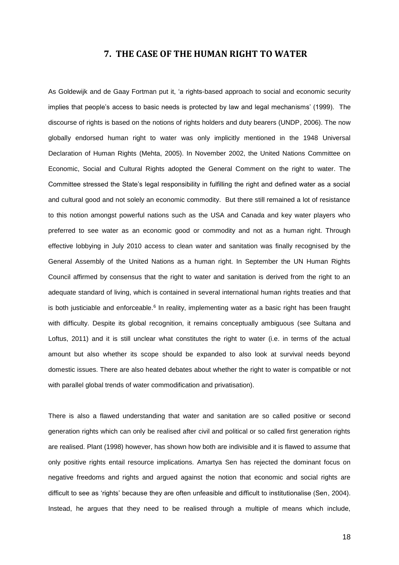### **7. THE CASE OF THE HUMAN RIGHT TO WATER**

As Goldewijk and de Gaay Fortman put it, 'a rights-based approach to social and economic security implies that people's access to basic needs is protected by law and legal mechanisms' (1999). The discourse of rights is based on the notions of rights holders and duty bearers (UNDP, 2006). The now globally endorsed human right to water was only implicitly mentioned in the 1948 Universal Declaration of Human Rights (Mehta, 2005). In November 2002, the United Nations Committee on Economic, Social and Cultural Rights adopted the General Comment on the right to water. The Committee stressed the State's legal responsibility in fulfilling the right and defined water as a social and cultural good and not solely an economic commodity. But there still remained a lot of resistance to this notion amongst powerful nations such as the USA and Canada and key water players who preferred to see water as an economic good or commodity and not as a human right. Through effective lobbying in July 2010 access to clean water and sanitation was finally recognised by the General Assembly of the United Nations as a human right. In September the UN Human Rights Council affirmed by consensus that the right to water and sanitation is derived from the right to an adequate standard of living, which is contained in several international human rights treaties and that is both justiciable and enforceable.<sup>6</sup> In reality, implementing water as a basic right has been fraught with difficulty. Despite its global recognition, it remains conceptually ambiguous (see Sultana and Loftus, 2011) and it is still unclear what constitutes the right to water (i.e. in terms of the actual amount but also whether its scope should be expanded to also look at survival needs beyond domestic issues. There are also heated debates about whether the right to water is compatible or not with parallel global trends of water commodification and privatisation).

There is also a flawed understanding that water and sanitation are so called positive or second generation rights which can only be realised after civil and political or so called first generation rights are realised. Plant (1998) however, has shown how both are indivisible and it is flawed to assume that only positive rights entail resource implications. Amartya Sen has rejected the dominant focus on negative freedoms and rights and argued against the notion that economic and social rights are difficult to see as 'rights' because they are often unfeasible and difficult to institutionalise (Sen, 2004). Instead, he argues that they need to be realised through a multiple of means which include,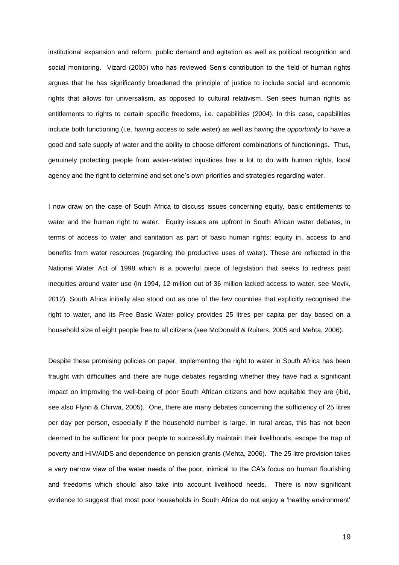institutional expansion and reform, public demand and agitation as well as political recognition and social monitoring. Vizard (2005) who has reviewed Sen's contribution to the field of human rights argues that he has significantly broadened the principle of justice to include social and economic rights that allows for universalism, as opposed to cultural relativism. Sen sees human rights as entitlements to rights to certain specific freedoms, i.e. capabilities (2004). In this case, capabilities include both functioning (i.e. having access to safe water) as well as having the *opportunity* to have a good and safe supply of water and the ability to choose different combinations of functionings. Thus, genuinely protecting people from water-related injustices has a lot to do with human rights, local agency and the right to determine and set one's own priorities and strategies regarding water.

I now draw on the case of South Africa to discuss issues concerning equity, basic entitlements to water and the human right to water. Equity issues are upfront in South African water debates, in terms of access to water and sanitation as part of basic human rights; equity in, access to and benefits from water resources (regarding the productive uses of water). These are reflected in the National Water Act of 1998 which is a powerful piece of legislation that seeks to redress past inequities around water use (in 1994, 12 million out of 36 million lacked access to water, see Movik, 2012). South Africa initially also stood out as one of the few countries that explicitly recognised the right to water, and its Free Basic Water policy provides 25 litres per capita per day based on a household size of eight people free to all citizens (see McDonald & Ruiters, 2005 and Mehta, 2006).

Despite these promising policies on paper, implementing the right to water in South Africa has been fraught with difficulties and there are huge debates regarding whether they have had a significant impact on improving the well-being of poor South African citizens and how equitable they are (ibid, see also Flynn & Chirwa, 2005). One, there are many debates concerning the sufficiency of 25 litres per day per person, especially if the household number is large. In rural areas, this has not been deemed to be sufficient for poor people to successfully maintain their livelihoods, escape the trap of poverty and HIV/AIDS and dependence on pension grants (Mehta, 2006). The 25 litre provision takes a very narrow view of the water needs of the poor, inimical to the CA's focus on human flourishing and freedoms which should also take into account livelihood needs. There is now significant evidence to suggest that most poor households in South Africa do not enjoy a 'healthy environment'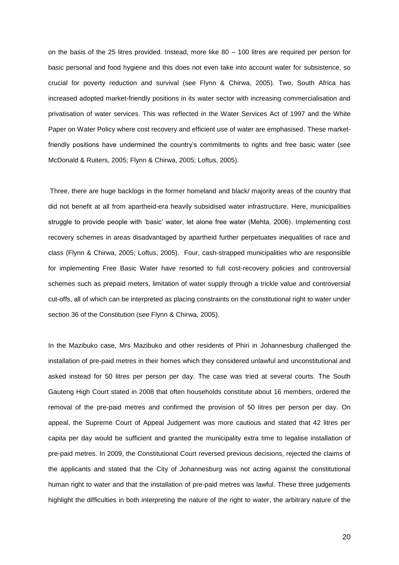on the basis of the 25 litres provided. Instead, more like 80 – 100 litres are required per person for basic personal and food hygiene and this does not even take into account water for subsistence, so crucial for poverty reduction and survival (see Flynn & Chirwa, 2005). Two, South Africa has increased adopted market-friendly positions in its water sector with increasing commercialisation and privatisation of water services. This was reflected in the Water Services Act of 1997 and the White Paper on Water Policy where cost recovery and efficient use of water are emphasised. These marketfriendly positions have undermined the country's commitments to rights and free basic water (see McDonald & Ruiters, 2005; Flynn & Chirwa, 2005; Loftus, 2005).

Three, there are huge backlogs in the former homeland and black/ majority areas of the country that did not benefit at all from apartheid-era heavily subsidised water infrastructure. Here, municipalities struggle to provide people with 'basic' water, let alone free water (Mehta, 2006). Implementing cost recovery schemes in areas disadvantaged by apartheid further perpetuates inequalities of race and class (Flynn & Chirwa, 2005; Loftus, 2005). Four, cash-strapped municipalities who are responsible for implementing Free Basic Water have resorted to full cost-recovery policies and controversial schemes such as prepaid meters, limitation of water supply through a trickle value and controversial cut-offs, all of which can be interpreted as placing constraints on the constitutional right to water under section 36 of the Constitution (see Flynn & Chirwa, 2005).

In the Mazibuko case, Mrs Mazibuko and other residents of Phiri in Johannesburg challenged the installation of pre-paid metres in their homes which they considered unlawful and unconstitutional and asked instead for 50 litres per person per day. The case was tried at several courts. The South Gauteng High Court stated in 2008 that often households constitute about 16 members, ordered the removal of the pre-paid metres and confirmed the provision of 50 litres per person per day. On appeal, the Supreme Court of Appeal Judgement was more cautious and stated that 42 litres per capita per day would be sufficient and granted the municipality extra time to legalise installation of pre-paid metres. In 2009, the Constitutional Court reversed previous decisions, rejected the claims of the applicants and stated that the City of Johannesburg was not acting against the constitutional human right to water and that the installation of pre-paid metres was lawful. These three judgements highlight the difficulties in both interpreting the nature of the right to water, the arbitrary nature of the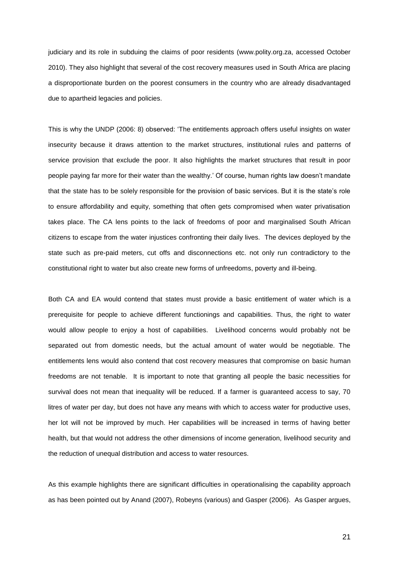judiciary and its role in subduing the claims of poor residents (www.polity.org.za, accessed October 2010). They also highlight that several of the cost recovery measures used in South Africa are placing a disproportionate burden on the poorest consumers in the country who are already disadvantaged due to apartheid legacies and policies.

This is why the UNDP (2006: 8) observed: 'The entitlements approach offers useful insights on water insecurity because it draws attention to the market structures, institutional rules and patterns of service provision that exclude the poor. It also highlights the market structures that result in poor people paying far more for their water than the wealthy.' Of course, human rights law doesn't mandate that the state has to be solely responsible for the provision of basic services. But it is the state's role to ensure affordability and equity, something that often gets compromised when water privatisation takes place. The CA lens points to the lack of freedoms of poor and marginalised South African citizens to escape from the water injustices confronting their daily lives. The devices deployed by the state such as pre-paid meters, cut offs and disconnections etc. not only run contradictory to the constitutional right to water but also create new forms of unfreedoms, poverty and ill-being.

Both CA and EA would contend that states must provide a basic entitlement of water which is a prerequisite for people to achieve different functionings and capabilities. Thus, the right to water would allow people to enjoy a host of capabilities. Livelihood concerns would probably not be separated out from domestic needs, but the actual amount of water would be negotiable. The entitlements lens would also contend that cost recovery measures that compromise on basic human freedoms are not tenable. It is important to note that granting all people the basic necessities for survival does not mean that inequality will be reduced. If a farmer is guaranteed access to say, 70 litres of water per day, but does not have any means with which to access water for productive uses, her lot will not be improved by much. Her capabilities will be increased in terms of having better health, but that would not address the other dimensions of income generation, livelihood security and the reduction of unequal distribution and access to water resources.

As this example highlights there are significant difficulties in operationalising the capability approach as has been pointed out by Anand (2007), Robeyns (various) and Gasper (2006). As Gasper argues,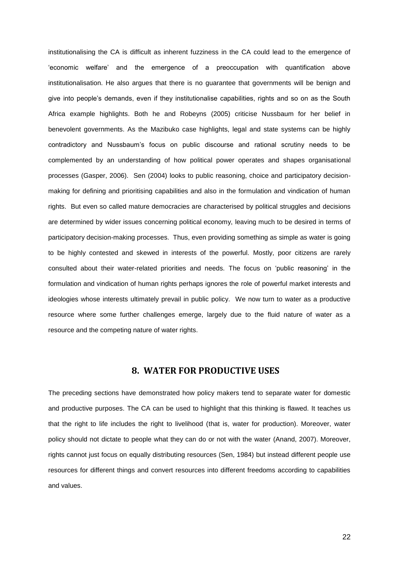institutionalising the CA is difficult as inherent fuzziness in the CA could lead to the emergence of 'economic welfare' and the emergence of a preoccupation with quantification above institutionalisation. He also argues that there is no guarantee that governments will be benign and give into people's demands, even if they institutionalise capabilities, rights and so on as the South Africa example highlights. Both he and Robeyns (2005) criticise Nussbaum for her belief in benevolent governments. As the Mazibuko case highlights, legal and state systems can be highly contradictory and Nussbaum's focus on public discourse and rational scrutiny needs to be complemented by an understanding of how political power operates and shapes organisational processes (Gasper, 2006). Sen (2004) looks to public reasoning, choice and participatory decisionmaking for defining and prioritising capabilities and also in the formulation and vindication of human rights. But even so called mature democracies are characterised by political struggles and decisions are determined by wider issues concerning political economy, leaving much to be desired in terms of participatory decision-making processes. Thus, even providing something as simple as water is going to be highly contested and skewed in interests of the powerful. Mostly, poor citizens are rarely consulted about their water-related priorities and needs. The focus on 'public reasoning' in the formulation and vindication of human rights perhaps ignores the role of powerful market interests and ideologies whose interests ultimately prevail in public policy. We now turn to water as a productive resource where some further challenges emerge, largely due to the fluid nature of water as a resource and the competing nature of water rights.

### **8. WATER FOR PRODUCTIVE USES**

The preceding sections have demonstrated how policy makers tend to separate water for domestic and productive purposes. The CA can be used to highlight that this thinking is flawed. It teaches us that the right to life includes the right to livelihood (that is, water for production). Moreover, water policy should not dictate to people what they can do or not with the water (Anand, 2007). Moreover, rights cannot just focus on equally distributing resources (Sen, 1984) but instead different people use resources for different things and convert resources into different freedoms according to capabilities and values.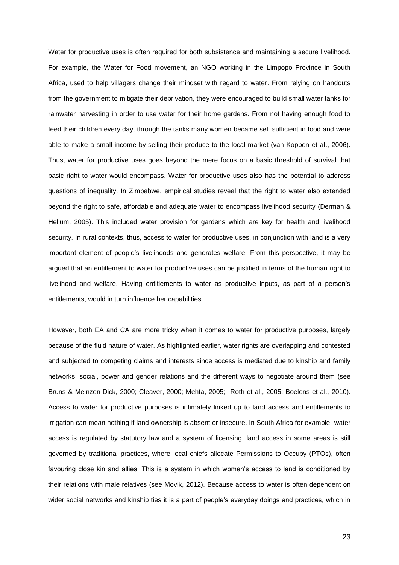Water for productive uses is often required for both subsistence and maintaining a secure livelihood. For example, the Water for Food movement, an NGO working in the Limpopo Province in South Africa, used to help villagers change their mindset with regard to water. From relying on handouts from the government to mitigate their deprivation, they were encouraged to build small water tanks for rainwater harvesting in order to use water for their home gardens. From not having enough food to feed their children every day, through the tanks many women became self sufficient in food and were able to make a small income by selling their produce to the local market (van Koppen et al., 2006). Thus, water for productive uses goes beyond the mere focus on a basic threshold of survival that basic right to water would encompass. Water for productive uses also has the potential to address questions of inequality. In Zimbabwe, empirical studies reveal that the right to water also extended beyond the right to safe, affordable and adequate water to encompass livelihood security (Derman & Hellum, 2005). This included water provision for gardens which are key for health and livelihood security. In rural contexts, thus, access to water for productive uses, in conjunction with land is a very important element of people's livelihoods and generates welfare. From this perspective, it may be argued that an entitlement to water for productive uses can be justified in terms of the human right to livelihood and welfare. Having entitlements to water as productive inputs, as part of a person's entitlements, would in turn influence her capabilities.

However, both EA and CA are more tricky when it comes to water for productive purposes, largely because of the fluid nature of water. As highlighted earlier, water rights are overlapping and contested and subjected to competing claims and interests since access is mediated due to kinship and family networks, social, power and gender relations and the different ways to negotiate around them (see Bruns & Meinzen-Dick, 2000; Cleaver, 2000; Mehta, 2005; Roth et al., 2005; Boelens et al., 2010). Access to water for productive purposes is intimately linked up to land access and entitlements to irrigation can mean nothing if land ownership is absent or insecure. In South Africa for example, water access is regulated by statutory law and a system of licensing, land access in some areas is still governed by traditional practices, where local chiefs allocate Permissions to Occupy (PTOs), often favouring close kin and allies. This is a system in which women's access to land is conditioned by their relations with male relatives (see Movik, 2012). Because access to water is often dependent on wider social networks and kinship ties it is a part of people's everyday doings and practices, which in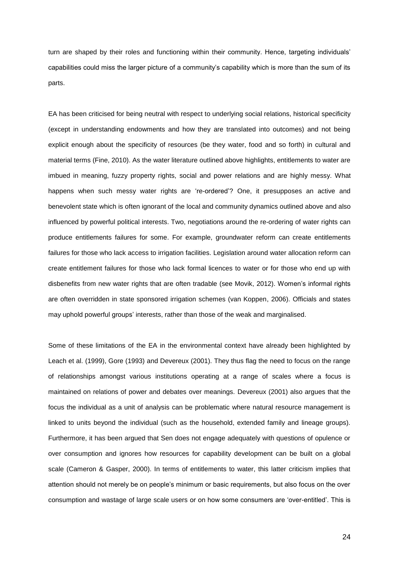turn are shaped by their roles and functioning within their community. Hence, targeting individuals' capabilities could miss the larger picture of a community's capability which is more than the sum of its parts.

EA has been criticised for being neutral with respect to underlying social relations, historical specificity (except in understanding endowments and how they are translated into outcomes) and not being explicit enough about the specificity of resources (be they water, food and so forth) in cultural and material terms (Fine, 2010). As the water literature outlined above highlights, entitlements to water are imbued in meaning, fuzzy property rights, social and power relations and are highly messy. What happens when such messy water rights are 're-ordered'? One, it presupposes an active and benevolent state which is often ignorant of the local and community dynamics outlined above and also influenced by powerful political interests. Two, negotiations around the re-ordering of water rights can produce entitlements failures for some. For example, groundwater reform can create entitlements failures for those who lack access to irrigation facilities. Legislation around water allocation reform can create entitlement failures for those who lack formal licences to water or for those who end up with disbenefits from new water rights that are often tradable (see Movik, 2012). Women's informal rights are often overridden in state sponsored irrigation schemes (van Koppen, 2006). Officials and states may uphold powerful groups' interests, rather than those of the weak and marginalised.

Some of these limitations of the EA in the environmental context have already been highlighted by Leach et al. (1999), Gore (1993) and Devereux (2001). They thus flag the need to focus on the range of relationships amongst various institutions operating at a range of scales where a focus is maintained on relations of power and debates over meanings. Devereux (2001) also argues that the focus the individual as a unit of analysis can be problematic where natural resource management is linked to units beyond the individual (such as the household, extended family and lineage groups). Furthermore, it has been argued that Sen does not engage adequately with questions of opulence or over consumption and ignores how resources for capability development can be built on a global scale (Cameron & Gasper, 2000). In terms of entitlements to water, this latter criticism implies that attention should not merely be on people's minimum or basic requirements, but also focus on the over consumption and wastage of large scale users or on how some consumers are 'over-entitled'. This is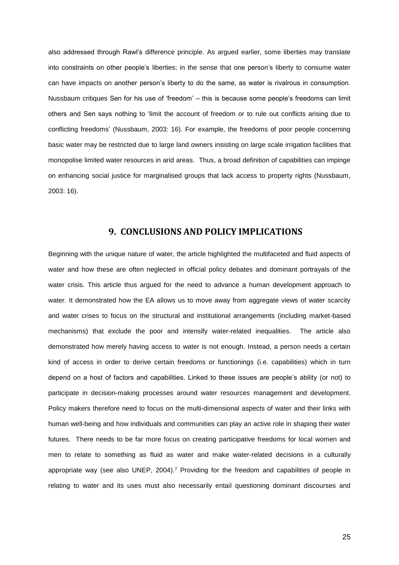also addressed through Rawl's difference principle. As argued earlier, some liberties may translate into constraints on other people's liberties; in the sense that one person's liberty to consume water can have impacts on another person's liberty to do the same, as water is rivalrous in consumption. Nussbaum critiques Sen for his use of 'freedom' – this is because some people's freedoms can limit others and Sen says nothing to 'limit the account of freedom or to rule out conflicts arising due to conflicting freedoms' (Nussbaum, 2003: 16). For example, the freedoms of poor people concerning basic water may be restricted due to large land owners insisting on large scale irrigation facilities that monopolise limited water resources in arid areas. Thus, a broad definition of capabilities can impinge on enhancing social justice for marginalised groups that lack access to property rights (Nussbaum, 2003: 16).

# **9. CONCLUSIONS AND POLICY IMPLICATIONS**

Beginning with the unique nature of water, the article highlighted the multifaceted and fluid aspects of water and how these are often neglected in official policy debates and dominant portrayals of the water crisis. This article thus argued for the need to advance a human development approach to water. It demonstrated how the EA allows us to move away from aggregate views of water scarcity and water crises to focus on the structural and institutional arrangements (including market-based mechanisms) that exclude the poor and intensify water-related inequalities. The article also demonstrated how merely having access to water is not enough. Instead, a person needs a certain kind of access in order to derive certain freedoms or functionings (i.e. capabilities) which in turn depend on a host of factors and capabilities. Linked to these issues are people's ability (or not) to participate in decision-making processes around water resources management and development. Policy makers therefore need to focus on the multi-dimensional aspects of water and their links with human well-being and how individuals and communities can play an active role in shaping their water futures. There needs to be far more focus on creating participative freedoms for local women and men to relate to something as fluid as water and make water-related decisions in a culturally appropriate way (see also UNEP, 2004).<sup>7</sup> Providing for the freedom and capabilities of people in relating to water and its uses must also necessarily entail questioning dominant discourses and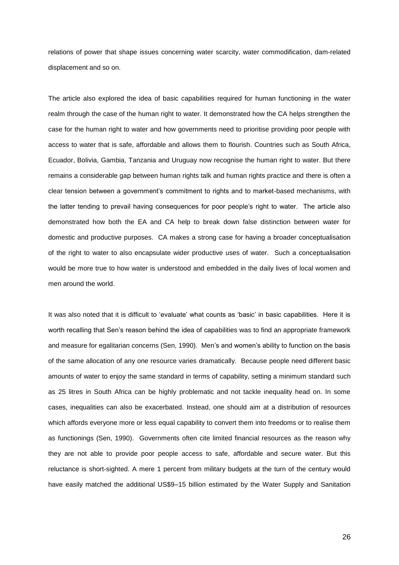relations of power that shape issues concerning water scarcity, water commodification, dam-related displacement and so on.

The article also explored the idea of basic capabilities required for human functioning in the water realm through the case of the human right to water. It demonstrated how the CA helps strengthen the case for the human right to water and how governments need to prioritise providing poor people with access to water that is safe, affordable and allows them to flourish. Countries such as South Africa, Ecuador, Bolivia, Gambia, Tanzania and Uruguay now recognise the human right to water. But there remains a considerable gap between human rights talk and human rights practice and there is often a clear tension between a government's commitment to rights and to market-based mechanisms, with the latter tending to prevail having consequences for poor people's right to water. The article also demonstrated how both the EA and CA help to break down false distinction between water for domestic and productive purposes. CA makes a strong case for having a broader conceptualisation of the right to water to also encapsulate wider productive uses of water. Such a conceptualisation would be more true to how water is understood and embedded in the daily lives of local women and men around the world.

It was also noted that it is difficult to 'evaluate' what counts as 'basic' in basic capabilities. Here it is worth recalling that Sen's reason behind the idea of capabilities was to find an appropriate framework and measure for egalitarian concerns (Sen, 1990). Men's and women's ability to function on the basis of the same allocation of any one resource varies dramatically. Because people need different basic amounts of water to enjoy the same standard in terms of capability, setting a minimum standard such as 25 litres in South Africa can be highly problematic and not tackle inequality head on. In some cases, inequalities can also be exacerbated. Instead, one should aim at a distribution of resources which affords everyone more or less equal capability to convert them into freedoms or to realise them as functionings (Sen, 1990). Governments often cite limited financial resources as the reason why they are not able to provide poor people access to safe, affordable and secure water. But this reluctance is short-sighted. A mere 1 percent from military budgets at the turn of the century would have easily matched the additional US\$9–15 billion estimated by the Water Supply and Sanitation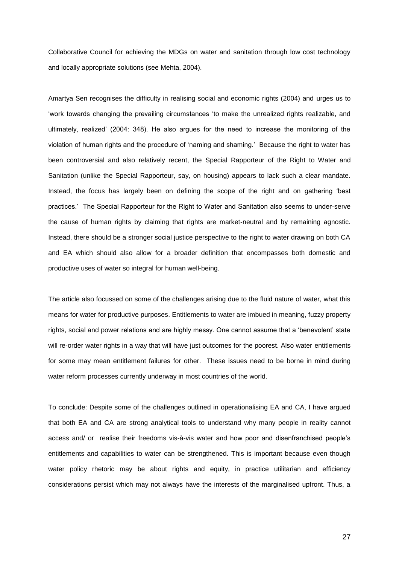Collaborative Council for achieving the MDGs on water and sanitation through low cost technology and locally appropriate solutions (see Mehta, 2004).

Amartya Sen recognises the difficulty in realising social and economic rights (2004) and urges us to 'work towards changing the prevailing circumstances 'to make the unrealized rights realizable, and ultimately, realized' (2004: 348). He also argues for the need to increase the monitoring of the violation of human rights and the procedure of 'naming and shaming.' Because the right to water has been controversial and also relatively recent, the Special Rapporteur of the Right to Water and Sanitation (unlike the Special Rapporteur, say, on housing) appears to lack such a clear mandate. Instead, the focus has largely been on defining the scope of the right and on gathering 'best practices.' The Special Rapporteur for the Right to Water and Sanitation also seems to under-serve the cause of human rights by claiming that rights are market-neutral and by remaining agnostic. Instead, there should be a stronger social justice perspective to the right to water drawing on both CA and EA which should also allow for a broader definition that encompasses both domestic and productive uses of water so integral for human well-being.

The article also focussed on some of the challenges arising due to the fluid nature of water, what this means for water for productive purposes. Entitlements to water are imbued in meaning, fuzzy property rights, social and power relations and are highly messy. One cannot assume that a 'benevolent' state will re-order water rights in a way that will have just outcomes for the poorest. Also water entitlements for some may mean entitlement failures for other. These issues need to be borne in mind during water reform processes currently underway in most countries of the world.

To conclude: Despite some of the challenges outlined in operationalising EA and CA, I have argued that both EA and CA are strong analytical tools to understand why many people in reality cannot access and/ or realise their freedoms vis-à-vis water and how poor and disenfranchised people's entitlements and capabilities to water can be strengthened. This is important because even though water policy rhetoric may be about rights and equity, in practice utilitarian and efficiency considerations persist which may not always have the interests of the marginalised upfront. Thus, a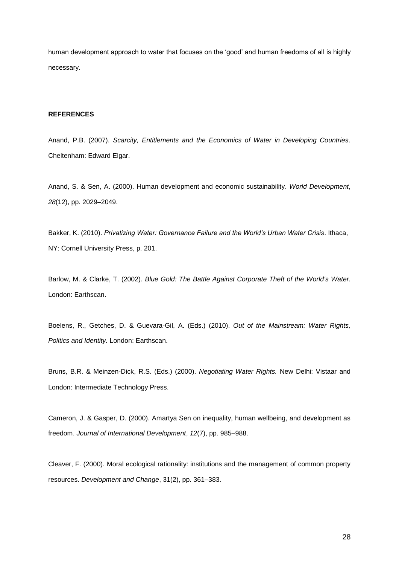human development approach to water that focuses on the 'good' and human freedoms of all is highly necessary.

#### **REFERENCES**

Anand, P.B. (2007). *Scarcity, Entitlements and the Economics of Water in Developing Countries*. Cheltenham: Edward Elgar.

Anand, S. & Sen, A. (2000). Human development and economic sustainability. *World Development*, *28*(12), pp. 2029–2049.

Bakker, K. (2010). *Privatizing Water: Governance Failure and the World's Urban Water Crisis*. Ithaca, NY: Cornell University Press, p. 201.

Barlow, M. & Clarke, T. (2002). *Blue Gold: The Battle Against Corporate Theft of the World's Water.* London: Earthscan.

Boelens, R., Getches, D. & Guevara-Gil, A. (Eds.) (2010). *Out of the Mainstream: Water Rights, Politics and Identity.* London: Earthscan.

Bruns, B.R. & Meinzen-Dick, R.S. (Eds.) (2000). *Negotiating Water Rights.* New Delhi: Vistaar and London: Intermediate Technology Press.

Cameron, J. & Gasper, D. (2000). Amartya Sen on inequality, human wellbeing, and development as freedom. *Journal of International Development*, *12*(7), pp. 985–988.

Cleaver, F. (2000). Moral ecological rationality: institutions and the management of common property resources. *Development and Change*, 31(2), pp. 361–383.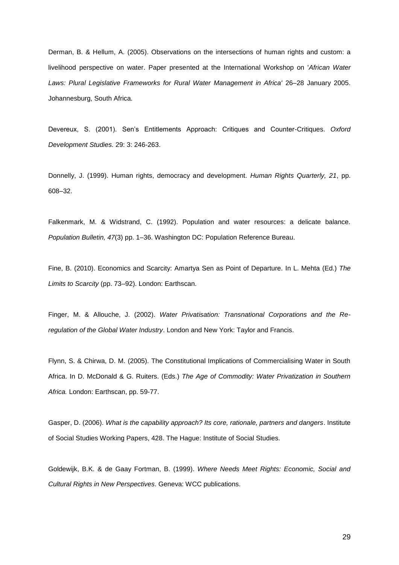Derman, B. & Hellum, A. (2005). Observations on the intersections of human rights and custom: a livelihood perspective on water. Paper presented at the International Workshop on '*African Water*  Laws: Plural Legislative Frameworks for Rural Water Management in Africa' 26-28 January 2005. Johannesburg, South Africa.

Devereux, S. (2001). Sen's Entitlements Approach: Critiques and Counter-Critiques. *Oxford Development Studies.* 29: 3: 246-263.

Donnelly, J. (1999). Human rights, democracy and development. *Human Rights Quarterly, 21*, pp. 608–32.

Falkenmark, M. & Widstrand, C. (1992). Population and water resources: a delicate balance. *Population Bulletin, 47*(3) pp. 1–36. Washington DC: Population Reference Bureau.

Fine, B. (2010). Economics and Scarcity: Amartya Sen as Point of Departure. In L. Mehta (Ed.) *The Limits to Scarcity* (pp. 73–92). London: Earthscan.

Finger, M. & Allouche, J. (2002). *Water Privatisation: Transnational Corporations and the Reregulation of the Global Water Industry*. London and New York: Taylor and Francis.

Flynn, S. & Chirwa, D. M. (2005). The Constitutional Implications of Commercialising Water in South Africa. In D. McDonald & G. Ruiters. (Eds.) *The Age of Commodity: Water Privatization in Southern Africa.* London: Earthscan, pp. 59-77.

Gasper, D. (2006). *What is the capability approach? Its core, rationale, partners and dangers*. Institute of Social Studies Working Papers, 428. The Hague: Institute of Social Studies.

Goldewijk, B.K. & de Gaay Fortman, B. (1999). *Where Needs Meet Rights: Economic, Social and Cultural Rights in New Perspectives*. Geneva: WCC publications.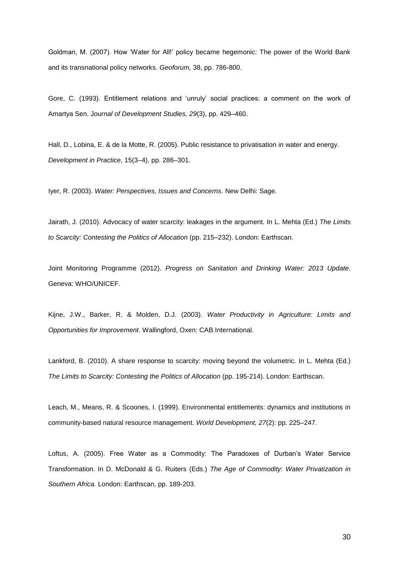Goldman, M. (2007). How 'Water for All!' policy became hegemonic: The power of the World Bank and its transnational policy networks. *Geoforum,* 38, pp. 786-800.

Gore, C. (1993). Entitlement relations and 'unruly' social practices: a comment on the work of Amartya Sen. J*ournal of Development Studies, 29*(3), pp. 429–460.

Hall, D., Lobina, E. & de la Motte, R. (2005). Public resistance to privatisation in water and energy. *Development in Practice*, 15(3–4), pp. 286–301.

Iyer, R. (2003). *Water: Perspectives, Issues and Concerns*. New Delhi: Sage.

Jairath, J. (2010). Advocacy of water scarcity: leakages in the argument. In L. Mehta (Ed.) *The Limits to Scarcity: Contesting the Politics of Allocation* (pp. 215–232). London: Earthscan.

Joint Monitoring Programme (2012). *Progress on Sanitation and Drinking Water: 2013 Update*. Geneva: WHO/UNICEF.

Kijne, J.W., Barker, R. & Molden, D.J. (2003). *Water Productivity in Agriculture: Limits and Opportunities for Improvement*. Wallingford, Oxen: CAB International.

Lankford, B. (2010). A share response to scarcity: moving beyond the volumetric. In L. Mehta (Ed.) *The Limits to Scarcity: Contesting the Politics of Allocation* (pp. 195-214). London: Earthscan.

Leach, M., Means, R. & Scoones, I. (1999). Environmental entitlements: dynamics and institutions in community-based natural resource management. *World Development, 27*(2): pp. 225–247.

Loftus, A. (2005). Free Water as a Commodity: The Paradoxes of Durban's Water Service Transformation. In D. McDonald & G. Ruiters (Eds.) *The Age of Commodity: Water Privatization in Southern Africa.* London: Earthscan, pp. 189-203.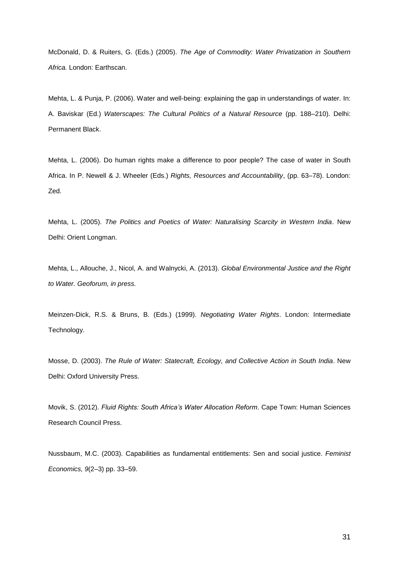McDonald, D. & Ruiters, G. (Eds.) (2005). *The Age of Commodity: Water Privatization in Southern Africa.* London: Earthscan.

Mehta, L. & Punja, P. (2006). Water and well-being: explaining the gap in understandings of water. In: A. Baviskar (Ed.) *Waterscapes: The Cultural Politics of a Natural Resource* (pp. 188–210). Delhi: Permanent Black.

Mehta, L. (2006). Do human rights make a difference to poor people? The case of water in South Africa. In P. Newell & J. Wheeler (Eds.) *Rights, Resources and Accountability*, (pp. 63–78). London: Zed.

Mehta, L. (2005). *The Politics and Poetics of Water: Naturalising Scarcity in Western India*. New Delhi: Orient Longman.

Mehta, L., Allouche, J., Nicol, A. and Walnycki, A. (2013). *Global Environmental Justice and the Right to Water. Geoforum, in press.*

Meinzen-Dick, R.S. & Bruns, B. (Eds.) (1999). *Negotiating Water Rights*. London: Intermediate Technology.

Mosse, D. (2003). *The Rule of Water: Statecraft, Ecology, and Collective Action in South India*. New Delhi: Oxford University Press.

Movik, S. (2012). *Fluid Rights: South Africa's Water Allocation Reform*. Cape Town: Human Sciences Research Council Press.

Nussbaum, M.C. (2003). Capabilities as fundamental entitlements: Sen and social justice. *Feminist Economics, 9*(2–3) pp. 33–59.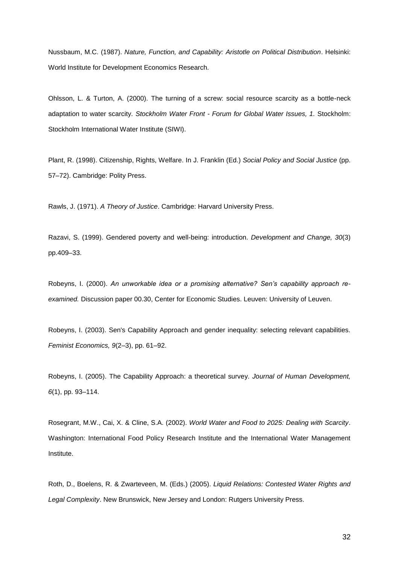Nussbaum, M.C. (1987). *Nature, Function, and Capability: Aristotle on Political Distribution*. Helsinki: World Institute for Development Economics Research.

Ohlsson, L. & Turton, A. (2000). The turning of a screw: social resource scarcity as a bottle-neck adaptation to water scarcity. *Stockholm Water Front - Forum for Global Water Issues, 1.* Stockholm: Stockholm International Water Institute (SIWI).

Plant, R. (1998). Citizenship, Rights, Welfare. In J. Franklin (Ed.) *Social Policy and Social Justice* (pp. 57–72). Cambridge: Polity Press.

Rawls, J. (1971). *A Theory of Justice*. Cambridge: Harvard University Press.

Razavi, S. (1999). Gendered poverty and well-being: introduction. *Development and Change, 30*(3) pp.409–33.

Robeyns, I. (2000). *An unworkable idea or a promising alternative? Sen's capability approach reexamined.* Discussion paper 00.30, Center for Economic Studies. Leuven: University of Leuven.

Robeyns, I. (2003). Sen's Capability Approach and gender inequality: selecting relevant capabilities. *Feminist Economics, 9*(2–3), pp. 61–92.

Robeyns, I. (2005). The Capability Approach: a theoretical survey. *Journal of Human Development, 6*(1), pp. 93–114.

Rosegrant, M.W., Cai, X. & Cline, S.A. (2002). *World Water and Food to 2025: Dealing with Scarcity*. Washington: International Food Policy Research Institute and the International Water Management Institute.

Roth, D., Boelens, R. & Zwarteveen, M. (Eds.) (2005). *Liquid Relations: Contested Water Rights and Legal Complexity*. New Brunswick, New Jersey and London: Rutgers University Press.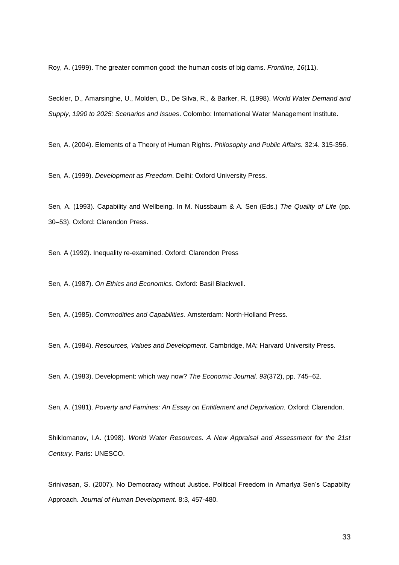Roy, A. (1999). The greater common good: the human costs of big dams. *Frontline, 16*(11).

Seckler, D., Amarsinghe, U., Molden, D., De Silva, R., & Barker, R. (1998). *World Water Demand and Supply, 1990 to 2025: Scenarios and Issues*. Colombo: International Water Management Institute.

Sen, A. (2004). Elements of a Theory of Human Rights. *Philosophy and Public Affairs.* 32:4. 315-356.

Sen, A. (1999). *Development as Freedom*. Delhi: Oxford University Press.

Sen, A. (1993). Capability and Wellbeing. In M. Nussbaum & A. Sen (Eds.) *The Quality of Life* (pp. 30–53). Oxford: Clarendon Press.

Sen. A (1992). Inequality re-examined. Oxford: Clarendon Press

Sen, A. (1987). *On Ethics and Economics*. Oxford: Basil Blackwell.

Sen, A. (1985). *Commodities and Capabilities*. Amsterdam: North-Holland Press.

Sen, A. (1984). *Resources, Values and Development*. Cambridge, MA: Harvard University Press.

Sen, A. (1983). Development: which way now? *The Economic Journal, 93*(372), pp. 745–62.

Sen, A. (1981). *Poverty and Famines: An Essay on Entitlement and Deprivation.* Oxford: Clarendon.

Shiklomanov, I.A. (1998). *World Water Resources. A New Appraisal and Assessment for the 21st Century*. Paris: UNESCO.

Srinivasan, S. (2007). No Democracy without Justice. Political Freedom in Amartya Sen's Capablity Approach. *Journal of Human Development.* 8:3, 457-480.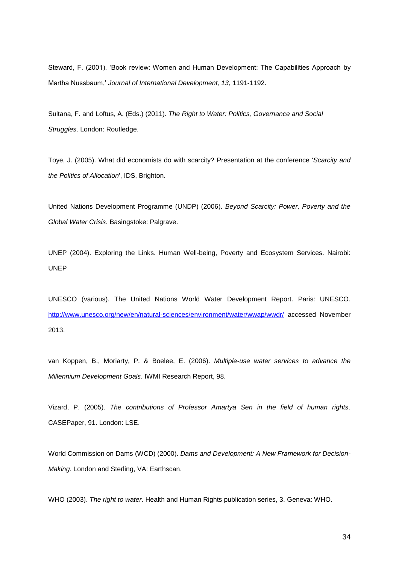Steward, F. (2001). 'Book review: Women and Human Development: The Capabilities Approach by Martha Nussbaum,' *Journal of International Development, 13,* 1191-1192.

Sultana, F. and Loftus, A. (Eds.) (2011). *The Right to Water: Politics, Governance and Social Struggles*. London: Routledge.

Toye, J. (2005). What did economists do with scarcity? Presentation at the conference '*Scarcity and the Politics of Allocation*', IDS, Brighton.

United Nations Development Programme (UNDP) (2006). *Beyond Scarcity: Power, Poverty and the Global Water Crisis*. Basingstoke: Palgrave.

UNEP (2004). Exploring the Links. Human Well-being, Poverty and Ecosystem Services. Nairobi: UNEP

UNESCO (various). The United Nations World Water Development Report. Paris: UNESCO. <http://www.unesco.org/new/en/natural-sciences/environment/water/wwap/wwdr/> accessed November 2013.

van Koppen, B., Moriarty, P. & Boelee, E. (2006). *Multiple-use water services to advance the Millennium Development Goals*. IWMI Research Report, 98.

Vizard, P. (2005). *The contributions of Professor Amartya Sen in the field of human rights*. CASEPaper, 91. London: LSE.

World Commission on Dams (WCD) (2000). *Dams and Development: A New Framework for Decision-Making*. London and Sterling, VA: Earthscan.

WHO (2003). *The right to water*. Health and Human Rights publication series, 3. Geneva: WHO.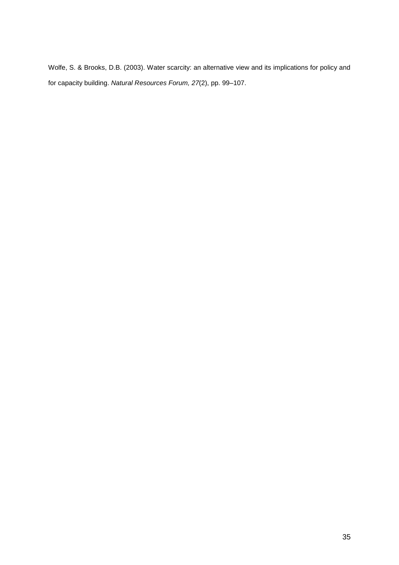Wolfe, S. & Brooks, D.B. (2003). Water scarcity: an alternative view and its implications for policy and for capacity building. *Natural Resources Forum, 27*(2), pp. 99–107.